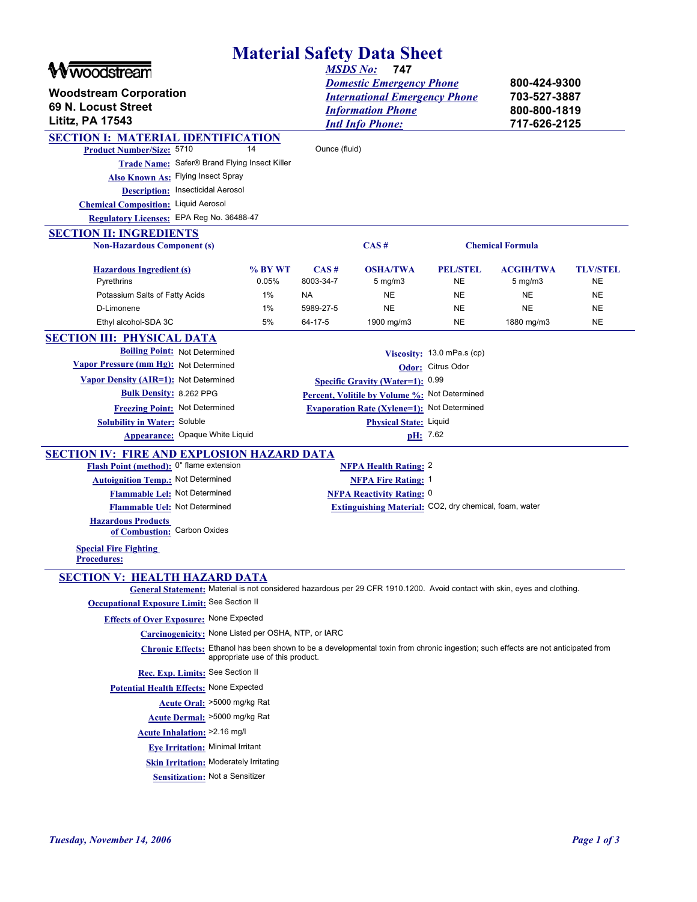|                                                                                                                                                                       |                  |                   | <b>Material Safety Data Sheet</b>                      |                              |                                  |                              |  |
|-----------------------------------------------------------------------------------------------------------------------------------------------------------------------|------------------|-------------------|--------------------------------------------------------|------------------------------|----------------------------------|------------------------------|--|
| woodstream                                                                                                                                                            |                  |                   | 747<br><b>MSDS No:</b>                                 |                              |                                  |                              |  |
|                                                                                                                                                                       |                  |                   | <b>Domestic Emergency Phone</b>                        |                              | 800-424-9300                     |                              |  |
| <b>Woodstream Corporation</b>                                                                                                                                         |                  |                   | <b>International Emergency Phone</b>                   |                              | 703-527-3887                     |                              |  |
| 69 N. Locust Street                                                                                                                                                   |                  |                   | <b>Information Phone</b>                               |                              |                                  | 800-800-1819                 |  |
| <b>Lititz, PA 17543</b>                                                                                                                                               |                  |                   | <b>Intl Info Phone:</b>                                |                              | 717-626-2125                     |                              |  |
| <b>SECTION I: MATERIAL IDENTIFICATION</b>                                                                                                                             |                  |                   |                                                        |                              |                                  |                              |  |
| Product Number/Size: 5710                                                                                                                                             | 14               | Ounce (fluid)     |                                                        |                              |                                  |                              |  |
| Trade Name: Safer® Brand Flying Insect Killer                                                                                                                         |                  |                   |                                                        |                              |                                  |                              |  |
| Also Known As: Flying Insect Spray                                                                                                                                    |                  |                   |                                                        |                              |                                  |                              |  |
| <b>Description:</b> Insecticidal Aerosol                                                                                                                              |                  |                   |                                                        |                              |                                  |                              |  |
| <b>Chemical Composition:</b> Liquid Aerosol                                                                                                                           |                  |                   |                                                        |                              |                                  |                              |  |
| Regulatory Licenses: EPA Reg No. 36488-47                                                                                                                             |                  |                   |                                                        |                              |                                  |                              |  |
| <b>SECTION II: INGREDIENTS</b>                                                                                                                                        |                  |                   |                                                        |                              |                                  |                              |  |
| <b>Non-Hazardous Component (s)</b>                                                                                                                                    |                  |                   | CAS#                                                   |                              | <b>Chemical Formula</b>          |                              |  |
| <b>Hazardous Ingredient (s)</b><br>Pyrethrins                                                                                                                         | % BY WT<br>0.05% | CAS#<br>8003-34-7 | <b>OSHA/TWA</b><br>$5 \,\mathrm{mg/m}$                 | <b>PEL/STEL</b><br><b>NE</b> | <b>ACGIH/TWA</b><br>$5$ mg/m $3$ | <b>TLV/STEL</b><br><b>NE</b> |  |
| Potassium Salts of Fatty Acids                                                                                                                                        | $1\%$            | NA                | <b>NE</b>                                              | <b>NE</b>                    | <b>NE</b>                        | <b>NE</b>                    |  |
| D-Limonene                                                                                                                                                            | $1\%$            | 5989-27-5         | <b>NE</b>                                              | <b>NE</b>                    | <b>NE</b>                        | <b>NE</b>                    |  |
| Ethyl alcohol-SDA 3C                                                                                                                                                  | 5%               | 64-17-5           | 1900 mg/m3                                             | <b>NE</b>                    | 1880 mg/m3                       | <b>NE</b>                    |  |
| <b>SECTION III: PHYSICAL DATA</b>                                                                                                                                     |                  |                   |                                                        |                              |                                  |                              |  |
| <b>Boiling Point:</b> Not Determined                                                                                                                                  |                  |                   |                                                        | Viscosity: 13.0 mPa.s (cp)   |                                  |                              |  |
| Vapor Pressure (mm Hg): Not Determined                                                                                                                                |                  |                   |                                                        | Odor: Citrus Odor            |                                  |                              |  |
| Vapor Density (AIR=1): Not Determined                                                                                                                                 |                  |                   | <b>Specific Gravity (Water=1): 0.99</b>                |                              |                                  |                              |  |
| <b>Bulk Density: 8.262 PPG</b>                                                                                                                                        |                  |                   | Percent, Volitile by Volume %: Not Determined          |                              |                                  |                              |  |
| Freezing Point: Not Determined                                                                                                                                        |                  |                   | <b>Evaporation Rate (Xylene=1):</b> Not Determined     |                              |                                  |                              |  |
| <b>Solubility in Water: Soluble</b>                                                                                                                                   |                  |                   | Physical State: Liquid                                 |                              |                                  |                              |  |
| <b>Appearance:</b> Opaque White Liquid                                                                                                                                |                  |                   | pH: 7.62                                               |                              |                                  |                              |  |
| <b>SECTION IV: FIRE AND EXPLOSION HAZARD DATA</b>                                                                                                                     |                  |                   |                                                        |                              |                                  |                              |  |
| Flash Point (method): 0" flame extension                                                                                                                              |                  |                   | <b>NFPA Health Rating: 2</b>                           |                              |                                  |                              |  |
| <b>Autoignition Temp.:</b> Not Determined                                                                                                                             |                  |                   | <b>NFPA Fire Rating: 1</b>                             |                              |                                  |                              |  |
| Flammable Lel: Not Determined                                                                                                                                         |                  |                   | <b>NFPA Reactivity Rating: 0</b>                       |                              |                                  |                              |  |
| Flammable Uel: Not Determined                                                                                                                                         |                  |                   | Extinguishing Material: CO2, dry chemical, foam, water |                              |                                  |                              |  |
| <b>Hazardous Products</b><br>of Combustion: Carbon Oxides                                                                                                             |                  |                   |                                                        |                              |                                  |                              |  |
| <b>Special Fire Fighting</b><br><u>Procedures:</u>                                                                                                                    |                  |                   |                                                        |                              |                                  |                              |  |
| <b>SECTION V: HEALTH HAZARD DATA</b>                                                                                                                                  |                  |                   |                                                        |                              |                                  |                              |  |
| General Statement: Material is not considered hazardous per 29 CFR 1910.1200. Avoid contact with skin, eyes and clothing.                                             |                  |                   |                                                        |                              |                                  |                              |  |
| <b>Occupational Exposure Limit:</b> See Section II                                                                                                                    |                  |                   |                                                        |                              |                                  |                              |  |
| <b>Effects of Over Exposure:</b> None Expected                                                                                                                        |                  |                   |                                                        |                              |                                  |                              |  |
| Carcinogenicity: None Listed per OSHA, NTP, or IARC                                                                                                                   |                  |                   |                                                        |                              |                                  |                              |  |
| Chronic Effects: Ethanol has been shown to be a developmental toxin from chronic ingestion; such effects are not anticipated from<br>appropriate use of this product. |                  |                   |                                                        |                              |                                  |                              |  |
| Rec. Exp. Limits: See Section II                                                                                                                                      |                  |                   |                                                        |                              |                                  |                              |  |
|                                                                                                                                                                       |                  |                   |                                                        |                              |                                  |                              |  |
| Potential Health Effects: None Expected                                                                                                                               |                  |                   |                                                        |                              |                                  |                              |  |
| Acute Oral: >5000 mg/kg Rat                                                                                                                                           |                  |                   |                                                        |                              |                                  |                              |  |
| Acute Dermal: >5000 mg/kg Rat                                                                                                                                         |                  |                   |                                                        |                              |                                  |                              |  |
| Acute Inhalation: >2.16 mg/l                                                                                                                                          |                  |                   |                                                        |                              |                                  |                              |  |
| <b>Eye Irritation: Minimal Irritant</b>                                                                                                                               |                  |                   |                                                        |                              |                                  |                              |  |
| <b>Skin Irritation:</b> Moderately Irritating                                                                                                                         |                  |                   |                                                        |                              |                                  |                              |  |
| <b>Sensitization:</b> Not a Sensitizer                                                                                                                                |                  |                   |                                                        |                              |                                  |                              |  |
|                                                                                                                                                                       |                  |                   |                                                        |                              |                                  |                              |  |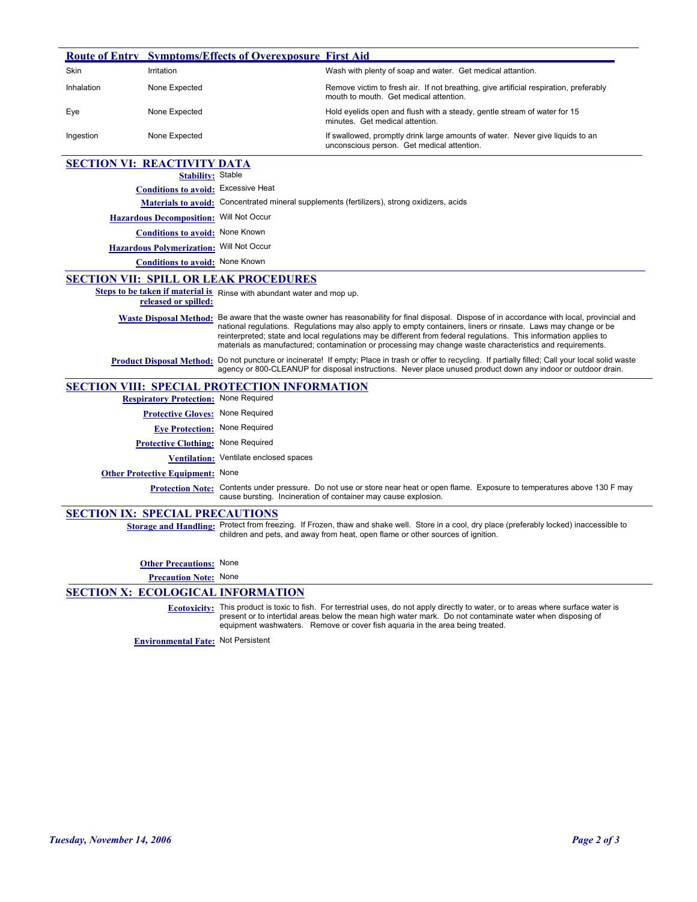|                                        |                                              | <b>Route of Entry Symptoms/Effects of Overexposure First Aid</b>                                                                                                                                                                                                                                                                                                                                                                                                                                   |                                                                                                                                                                                                                                |  |  |
|----------------------------------------|----------------------------------------------|----------------------------------------------------------------------------------------------------------------------------------------------------------------------------------------------------------------------------------------------------------------------------------------------------------------------------------------------------------------------------------------------------------------------------------------------------------------------------------------------------|--------------------------------------------------------------------------------------------------------------------------------------------------------------------------------------------------------------------------------|--|--|
| Skin                                   | Irritation                                   |                                                                                                                                                                                                                                                                                                                                                                                                                                                                                                    | Wash with plenty of soap and water. Get medical attantion.                                                                                                                                                                     |  |  |
| Inhalation                             | None Expected                                |                                                                                                                                                                                                                                                                                                                                                                                                                                                                                                    | Remove victim to fresh air. If not breathing, give artificial respiration, preferably<br>mouth to mouth. Get medical attention.                                                                                                |  |  |
| Eye                                    | None Expected                                |                                                                                                                                                                                                                                                                                                                                                                                                                                                                                                    | Hold eyelids open and flush with a steady, gentle stream of water for 15<br>minutes. Get medical attention.                                                                                                                    |  |  |
| Ingestion                              | None Expected                                |                                                                                                                                                                                                                                                                                                                                                                                                                                                                                                    | If swallowed, promptly drink large amounts of water. Never give liquids to an<br>unconscious person. Get medical attention.                                                                                                    |  |  |
| <b>SECTION VI: REACTIVITY DATA</b>     |                                              |                                                                                                                                                                                                                                                                                                                                                                                                                                                                                                    |                                                                                                                                                                                                                                |  |  |
|                                        | <b>Stability: Stable</b>                     |                                                                                                                                                                                                                                                                                                                                                                                                                                                                                                    |                                                                                                                                                                                                                                |  |  |
|                                        | Conditions to avoid: Excessive Heat          |                                                                                                                                                                                                                                                                                                                                                                                                                                                                                                    |                                                                                                                                                                                                                                |  |  |
|                                        |                                              | Materials to avoid: Concentrated mineral supplements (fertilizers), strong oxidizers, acids                                                                                                                                                                                                                                                                                                                                                                                                        |                                                                                                                                                                                                                                |  |  |
|                                        | Hazardous Decomposition: Will Not Occur      |                                                                                                                                                                                                                                                                                                                                                                                                                                                                                                    |                                                                                                                                                                                                                                |  |  |
|                                        | Conditions to avoid: None Known              |                                                                                                                                                                                                                                                                                                                                                                                                                                                                                                    |                                                                                                                                                                                                                                |  |  |
|                                        | Hazardous Polymerization: Will Not Occur     |                                                                                                                                                                                                                                                                                                                                                                                                                                                                                                    |                                                                                                                                                                                                                                |  |  |
|                                        | Conditions to avoid: None Known              |                                                                                                                                                                                                                                                                                                                                                                                                                                                                                                    |                                                                                                                                                                                                                                |  |  |
|                                        |                                              | <b>SECTION VII: SPILL OR LEAK PROCEDURES</b>                                                                                                                                                                                                                                                                                                                                                                                                                                                       |                                                                                                                                                                                                                                |  |  |
|                                        |                                              | Steps to be taken if material is Rinse with abundant water and mop up.                                                                                                                                                                                                                                                                                                                                                                                                                             |                                                                                                                                                                                                                                |  |  |
|                                        | released or spilled:                         |                                                                                                                                                                                                                                                                                                                                                                                                                                                                                                    |                                                                                                                                                                                                                                |  |  |
|                                        |                                              | Waste Disposal Method: Be aware that the waste owner has reasonability for final disposal. Dispose of in accordance with local, provincial and<br>national regulations. Regulations may also apply to empty containers, liners or rinsate. Laws may change or be<br>reinterpreted; state and local regulations may be different from federal regulations. This information applies to<br>materials as manufactured; contamination or processing may change waste characteristics and requirements. |                                                                                                                                                                                                                                |  |  |
|                                        | <b>Product Disposal Method:</b>              | Do not puncture or incinerate! If empty; Place in trash or offer to recycling. If partially filled; Call your local solid waste<br>agency or 800-CLEANUP for disposal instructions. Never place unused product down any indoor or outdoor drain.                                                                                                                                                                                                                                                   |                                                                                                                                                                                                                                |  |  |
|                                        |                                              | <b>SECTION VIII: SPECIAL PROTECTION INFORMATION</b>                                                                                                                                                                                                                                                                                                                                                                                                                                                |                                                                                                                                                                                                                                |  |  |
|                                        | <b>Respiratory Protection:</b> None Required |                                                                                                                                                                                                                                                                                                                                                                                                                                                                                                    |                                                                                                                                                                                                                                |  |  |
|                                        | <b>Protective Gloves:</b> None Required      |                                                                                                                                                                                                                                                                                                                                                                                                                                                                                                    |                                                                                                                                                                                                                                |  |  |
|                                        | <b>Eye Protection:</b> None Required         |                                                                                                                                                                                                                                                                                                                                                                                                                                                                                                    |                                                                                                                                                                                                                                |  |  |
|                                        | <b>Protective Clothing: None Required</b>    |                                                                                                                                                                                                                                                                                                                                                                                                                                                                                                    |                                                                                                                                                                                                                                |  |  |
|                                        |                                              | Ventilation: Ventilate enclosed spaces                                                                                                                                                                                                                                                                                                                                                                                                                                                             |                                                                                                                                                                                                                                |  |  |
|                                        | <b>Other Protective Equipment: None</b>      |                                                                                                                                                                                                                                                                                                                                                                                                                                                                                                    |                                                                                                                                                                                                                                |  |  |
|                                        |                                              | Protection Note: Contents under pressure. Do not use or store near heat or open flame. Exposure to temperatures above 130 F may<br>cause bursting. Incineration of container may cause explosion.                                                                                                                                                                                                                                                                                                  |                                                                                                                                                                                                                                |  |  |
| <b>SECTION IX: SPECIAL PRECAUTIONS</b> |                                              |                                                                                                                                                                                                                                                                                                                                                                                                                                                                                                    |                                                                                                                                                                                                                                |  |  |
|                                        |                                              |                                                                                                                                                                                                                                                                                                                                                                                                                                                                                                    | Storage and Handling: Protect from freezing. If Frozen, thaw and shake well. Store in a cool, dry place (preferably locked) inaccessible to<br>children and pets, and away from heat, open flame or other sources of ignition. |  |  |
|                                        | <b>Other Precautions: None</b>               |                                                                                                                                                                                                                                                                                                                                                                                                                                                                                                    |                                                                                                                                                                                                                                |  |  |
|                                        | <b>Precaution Note: None</b>                 |                                                                                                                                                                                                                                                                                                                                                                                                                                                                                                    |                                                                                                                                                                                                                                |  |  |
|                                        |                                              | <b>SECTION X: ECOLOGICAL INFORMATION</b>                                                                                                                                                                                                                                                                                                                                                                                                                                                           |                                                                                                                                                                                                                                |  |  |
|                                        |                                              |                                                                                                                                                                                                                                                                                                                                                                                                                                                                                                    |                                                                                                                                                                                                                                |  |  |

Ecotoxicity: This product is toxic to fish. For terrestrial uses, do not apply directly to water, or to areas where surface water is<br>present or to intertidal areas below the mean high water mark. Do not contaminate water w equipment washwaters. Remove or cover fish aquaria in the area being treated.

**Environmental Fate:** Not Persistent